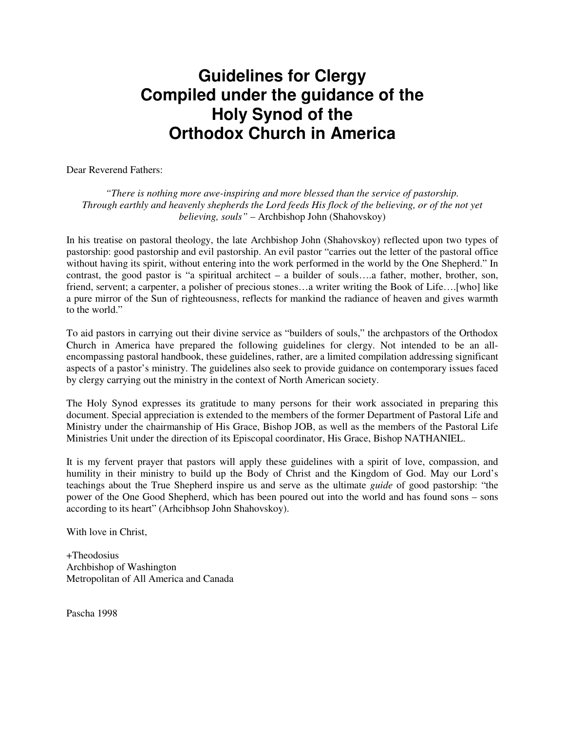# **Guidelines for Clergy Compiled under the guidance of the Holy Synod of the Orthodox Church in America**

Dear Reverend Fathers:

*"There is nothing more awe-inspiring and more blessed than the service of pastorship. Through earthly and heavenly shepherds the Lord feeds His flock of the believing, or of the not yet believing, souls"* – Archbishop John (Shahovskoy)

In his treatise on pastoral theology, the late Archbishop John (Shahovskoy) reflected upon two types of pastorship: good pastorship and evil pastorship. An evil pastor "carries out the letter of the pastoral office without having its spirit, without entering into the work performed in the world by the One Shepherd." In contrast, the good pastor is "a spiritual architect – a builder of souls….a father, mother, brother, son, friend, servent; a carpenter, a polisher of precious stones…a writer writing the Book of Life….[who] like a pure mirror of the Sun of righteousness, reflects for mankind the radiance of heaven and gives warmth to the world."

To aid pastors in carrying out their divine service as "builders of souls," the archpastors of the Orthodox Church in America have prepared the following guidelines for clergy. Not intended to be an allencompassing pastoral handbook, these guidelines, rather, are a limited compilation addressing significant aspects of a pastor's ministry. The guidelines also seek to provide guidance on contemporary issues faced by clergy carrying out the ministry in the context of North American society.

The Holy Synod expresses its gratitude to many persons for their work associated in preparing this document. Special appreciation is extended to the members of the former Department of Pastoral Life and Ministry under the chairmanship of His Grace, Bishop JOB, as well as the members of the Pastoral Life Ministries Unit under the direction of its Episcopal coordinator, His Grace, Bishop NATHANIEL.

It is my fervent prayer that pastors will apply these guidelines with a spirit of love, compassion, and humility in their ministry to build up the Body of Christ and the Kingdom of God. May our Lord's teachings about the True Shepherd inspire us and serve as the ultimate *guide* of good pastorship: "the power of the One Good Shepherd, which has been poured out into the world and has found sons – sons according to its heart" (Arhcibhsop John Shahovskoy).

With love in Christ,

+Theodosius Archbishop of Washington Metropolitan of All America and Canada

Pascha 1998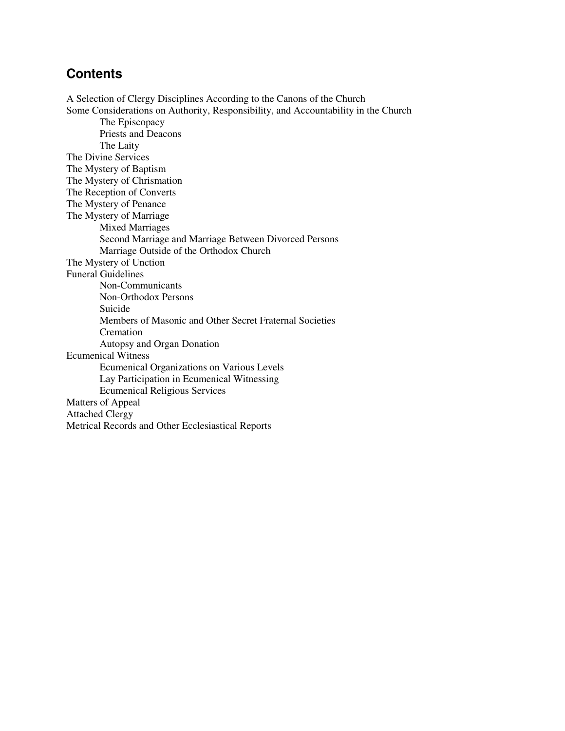# **Contents**

A Selection of Clergy Disciplines According to the Canons of the Church Some Considerations on Authority, Responsibility, and Accountability in the Church The Episcopacy Priests and Deacons The Laity The Divine Services The Mystery of Baptism The Mystery of Chrismation The Reception of Converts The Mystery of Penance The Mystery of Marriage Mixed Marriages Second Marriage and Marriage Between Divorced Persons Marriage Outside of the Orthodox Church The Mystery of Unction Funeral Guidelines Non-Communicants Non-Orthodox Persons Suicide Members of Masonic and Other Secret Fraternal Societies Cremation Autopsy and Organ Donation Ecumenical Witness Ecumenical Organizations on Various Levels Lay Participation in Ecumenical Witnessing Ecumenical Religious Services Matters of Appeal Attached Clergy Metrical Records and Other Ecclesiastical Reports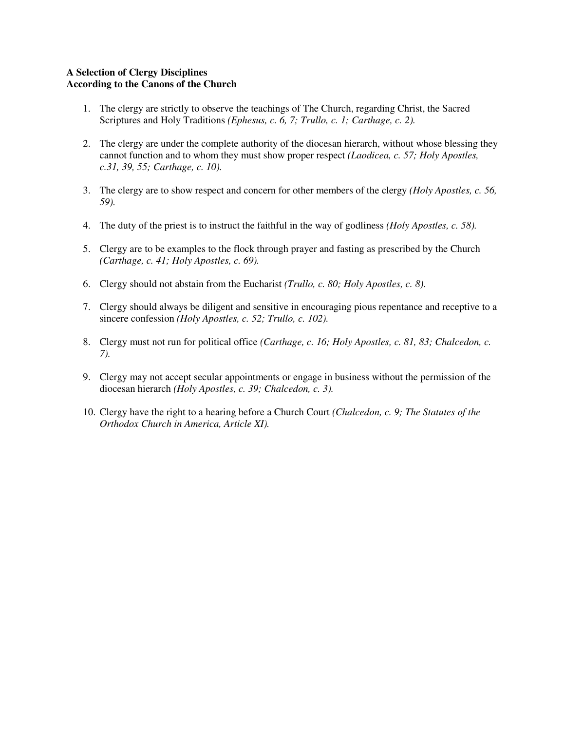# **A Selection of Clergy Disciplines According to the Canons of the Church**

- 1. The clergy are strictly to observe the teachings of The Church, regarding Christ, the Sacred Scriptures and Holy Traditions *(Ephesus, c. 6, 7; Trullo, c. 1; Carthage, c. 2).*
- 2. The clergy are under the complete authority of the diocesan hierarch, without whose blessing they cannot function and to whom they must show proper respect *(Laodicea, c. 57; Holy Apostles, c.31, 39, 55; Carthage, c. 10).*
- 3. The clergy are to show respect and concern for other members of the clergy *(Holy Apostles, c. 56, 59).*
- 4. The duty of the priest is to instruct the faithful in the way of godliness *(Holy Apostles, c. 58).*
- 5. Clergy are to be examples to the flock through prayer and fasting as prescribed by the Church *(Carthage, c. 41; Holy Apostles, c. 69).*
- 6. Clergy should not abstain from the Eucharist *(Trullo, c. 80; Holy Apostles, c. 8).*
- 7. Clergy should always be diligent and sensitive in encouraging pious repentance and receptive to a sincere confession *(Holy Apostles, c. 52; Trullo, c. 102).*
- 8. Clergy must not run for political office *(Carthage, c. 16; Holy Apostles, c. 81, 83; Chalcedon, c. 7).*
- 9. Clergy may not accept secular appointments or engage in business without the permission of the diocesan hierarch *(Holy Apostles, c. 39; Chalcedon, c. 3).*
- 10. Clergy have the right to a hearing before a Church Court *(Chalcedon, c. 9; The Statutes of the Orthodox Church in America, Article XI).*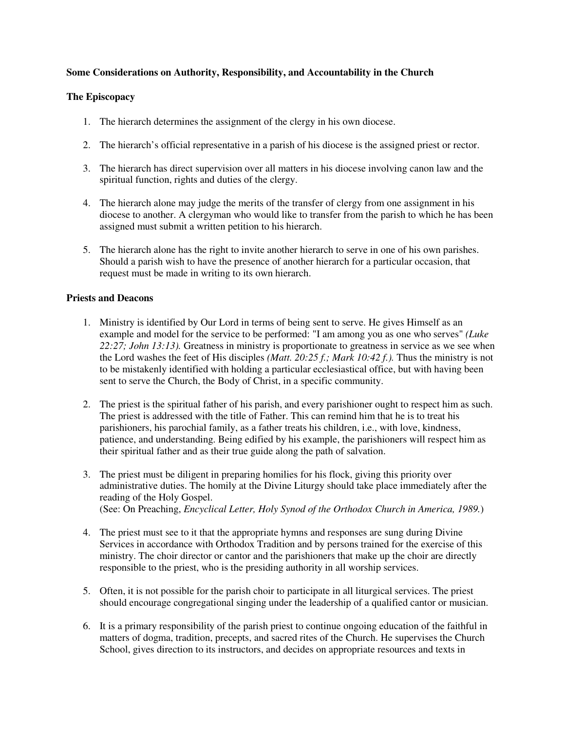# **Some Considerations on Authority, Responsibility, and Accountability in the Church**

# **The Episcopacy**

- 1. The hierarch determines the assignment of the clergy in his own diocese.
- 2. The hierarch's official representative in a parish of his diocese is the assigned priest or rector.
- 3. The hierarch has direct supervision over all matters in his diocese involving canon law and the spiritual function, rights and duties of the clergy.
- 4. The hierarch alone may judge the merits of the transfer of clergy from one assignment in his diocese to another. A clergyman who would like to transfer from the parish to which he has been assigned must submit a written petition to his hierarch.
- 5. The hierarch alone has the right to invite another hierarch to serve in one of his own parishes. Should a parish wish to have the presence of another hierarch for a particular occasion, that request must be made in writing to its own hierarch.

# **Priests and Deacons**

- 1. Ministry is identified by Our Lord in terms of being sent to serve. He gives Himself as an example and model for the service to be performed: "I am among you as one who serves" *(Luke 22:27; John 13:13).* Greatness in ministry is proportionate to greatness in service as we see when the Lord washes the feet of His disciples *(Matt. 20:25 f.; Mark 10:42 f.).* Thus the ministry is not to be mistakenly identified with holding a particular ecclesiastical office, but with having been sent to serve the Church, the Body of Christ, in a specific community.
- 2. The priest is the spiritual father of his parish, and every parishioner ought to respect him as such. The priest is addressed with the title of Father. This can remind him that he is to treat his parishioners, his parochial family, as a father treats his children, i.e., with love, kindness, patience, and understanding. Being edified by his example, the parishioners will respect him as their spiritual father and as their true guide along the path of salvation.
- 3. The priest must be diligent in preparing homilies for his flock, giving this priority over administrative duties. The homily at the Divine Liturgy should take place immediately after the reading of the Holy Gospel. (See: On Preaching, *Encyclical Letter, Holy Synod of the Orthodox Church in America, 1989.*)
- 4. The priest must see to it that the appropriate hymns and responses are sung during Divine Services in accordance with Orthodox Tradition and by persons trained for the exercise of this ministry. The choir director or cantor and the parishioners that make up the choir are directly responsible to the priest, who is the presiding authority in all worship services.
- 5. Often, it is not possible for the parish choir to participate in all liturgical services. The priest should encourage congregational singing under the leadership of a qualified cantor or musician.
- 6. It is a primary responsibility of the parish priest to continue ongoing education of the faithful in matters of dogma, tradition, precepts, and sacred rites of the Church. He supervises the Church School, gives direction to its instructors, and decides on appropriate resources and texts in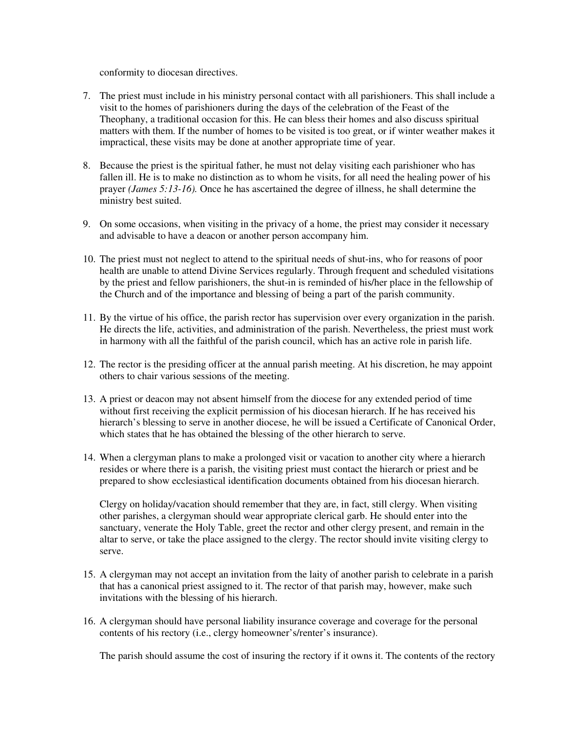conformity to diocesan directives.

- 7. The priest must include in his ministry personal contact with all parishioners. This shall include a visit to the homes of parishioners during the days of the celebration of the Feast of the Theophany, a traditional occasion for this. He can bless their homes and also discuss spiritual matters with them. If the number of homes to be visited is too great, or if winter weather makes it impractical, these visits may be done at another appropriate time of year.
- 8. Because the priest is the spiritual father, he must not delay visiting each parishioner who has fallen ill. He is to make no distinction as to whom he visits, for all need the healing power of his prayer *(James 5:13-16).* Once he has ascertained the degree of illness, he shall determine the ministry best suited.
- 9. On some occasions, when visiting in the privacy of a home, the priest may consider it necessary and advisable to have a deacon or another person accompany him.
- 10. The priest must not neglect to attend to the spiritual needs of shut-ins, who for reasons of poor health are unable to attend Divine Services regularly. Through frequent and scheduled visitations by the priest and fellow parishioners, the shut-in is reminded of his/her place in the fellowship of the Church and of the importance and blessing of being a part of the parish community.
- 11. By the virtue of his office, the parish rector has supervision over every organization in the parish. He directs the life, activities, and administration of the parish. Nevertheless, the priest must work in harmony with all the faithful of the parish council, which has an active role in parish life.
- 12. The rector is the presiding officer at the annual parish meeting. At his discretion, he may appoint others to chair various sessions of the meeting.
- 13. A priest or deacon may not absent himself from the diocese for any extended period of time without first receiving the explicit permission of his diocesan hierarch. If he has received his hierarch's blessing to serve in another diocese, he will be issued a Certificate of Canonical Order, which states that he has obtained the blessing of the other hierarch to serve.
- 14. When a clergyman plans to make a prolonged visit or vacation to another city where a hierarch resides or where there is a parish, the visiting priest must contact the hierarch or priest and be prepared to show ecclesiastical identification documents obtained from his diocesan hierarch.

Clergy on holiday/vacation should remember that they are, in fact, still clergy. When visiting other parishes, a clergyman should wear appropriate clerical garb. He should enter into the sanctuary, venerate the Holy Table, greet the rector and other clergy present, and remain in the altar to serve, or take the place assigned to the clergy. The rector should invite visiting clergy to serve.

- 15. A clergyman may not accept an invitation from the laity of another parish to celebrate in a parish that has a canonical priest assigned to it. The rector of that parish may, however, make such invitations with the blessing of his hierarch.
- 16. A clergyman should have personal liability insurance coverage and coverage for the personal contents of his rectory (i.e., clergy homeowner's/renter's insurance).

The parish should assume the cost of insuring the rectory if it owns it. The contents of the rectory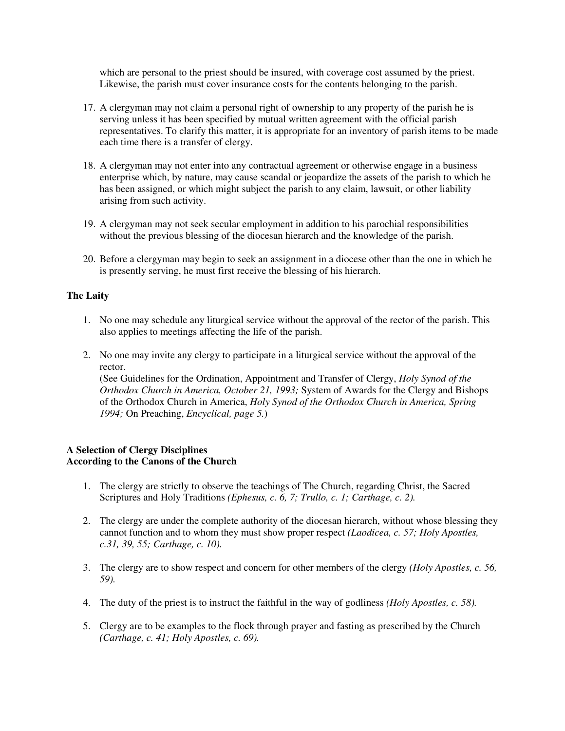which are personal to the priest should be insured, with coverage cost assumed by the priest. Likewise, the parish must cover insurance costs for the contents belonging to the parish.

- 17. A clergyman may not claim a personal right of ownership to any property of the parish he is serving unless it has been specified by mutual written agreement with the official parish representatives. To clarify this matter, it is appropriate for an inventory of parish items to be made each time there is a transfer of clergy.
- 18. A clergyman may not enter into any contractual agreement or otherwise engage in a business enterprise which, by nature, may cause scandal or jeopardize the assets of the parish to which he has been assigned, or which might subject the parish to any claim, lawsuit, or other liability arising from such activity.
- 19. A clergyman may not seek secular employment in addition to his parochial responsibilities without the previous blessing of the diocesan hierarch and the knowledge of the parish.
- 20. Before a clergyman may begin to seek an assignment in a diocese other than the one in which he is presently serving, he must first receive the blessing of his hierarch.

# **The Laity**

- 1. No one may schedule any liturgical service without the approval of the rector of the parish. This also applies to meetings affecting the life of the parish.
- 2. No one may invite any clergy to participate in a liturgical service without the approval of the rector.

(See Guidelines for the Ordination, Appointment and Transfer of Clergy, *Holy Synod of the Orthodox Church in America, October 21, 1993;* System of Awards for the Clergy and Bishops of the Orthodox Church in America, *Holy Synod of the Orthodox Church in America, Spring 1994;* On Preaching, *Encyclical, page 5.*)

# **A Selection of Clergy Disciplines According to the Canons of the Church**

- 1. The clergy are strictly to observe the teachings of The Church, regarding Christ, the Sacred Scriptures and Holy Traditions *(Ephesus, c. 6, 7; Trullo, c. 1; Carthage, c. 2).*
- 2. The clergy are under the complete authority of the diocesan hierarch, without whose blessing they cannot function and to whom they must show proper respect *(Laodicea, c. 57; Holy Apostles, c.31, 39, 55; Carthage, c. 10).*
- 3. The clergy are to show respect and concern for other members of the clergy *(Holy Apostles, c. 56, 59).*
- 4. The duty of the priest is to instruct the faithful in the way of godliness *(Holy Apostles, c. 58).*
- 5. Clergy are to be examples to the flock through prayer and fasting as prescribed by the Church *(Carthage, c. 41; Holy Apostles, c. 69).*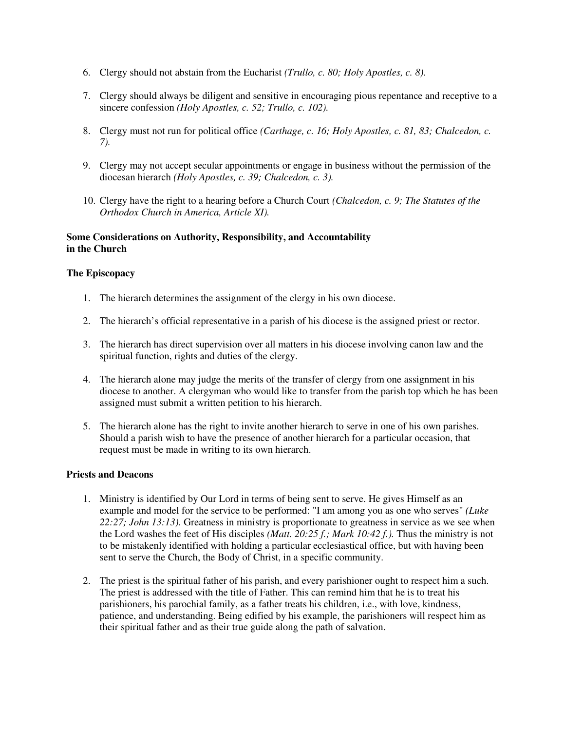- 6. Clergy should not abstain from the Eucharist *(Trullo, c. 80; Holy Apostles, c. 8).*
- 7. Clergy should always be diligent and sensitive in encouraging pious repentance and receptive to a sincere confession *(Holy Apostles, c. 52; Trullo, c. 102).*
- 8. Clergy must not run for political office *(Carthage, c. 16; Holy Apostles, c. 81, 83; Chalcedon, c. 7).*
- 9. Clergy may not accept secular appointments or engage in business without the permission of the diocesan hierarch *(Holy Apostles, c. 39; Chalcedon, c. 3).*
- 10. Clergy have the right to a hearing before a Church Court *(Chalcedon, c. 9; The Statutes of the Orthodox Church in America, Article XI).*

# **Some Considerations on Authority, Responsibility, and Accountability in the Church**

# **The Episcopacy**

- 1. The hierarch determines the assignment of the clergy in his own diocese.
- 2. The hierarch's official representative in a parish of his diocese is the assigned priest or rector.
- 3. The hierarch has direct supervision over all matters in his diocese involving canon law and the spiritual function, rights and duties of the clergy.
- 4. The hierarch alone may judge the merits of the transfer of clergy from one assignment in his diocese to another. A clergyman who would like to transfer from the parish top which he has been assigned must submit a written petition to his hierarch.
- 5. The hierarch alone has the right to invite another hierarch to serve in one of his own parishes. Should a parish wish to have the presence of another hierarch for a particular occasion, that request must be made in writing to its own hierarch.

# **Priests and Deacons**

- 1. Ministry is identified by Our Lord in terms of being sent to serve. He gives Himself as an example and model for the service to be performed: "I am among you as one who serves" *(Luke 22:27; John 13:13).* Greatness in ministry is proportionate to greatness in service as we see when the Lord washes the feet of His disciples *(Matt. 20:25 f.; Mark 10:42 f.).* Thus the ministry is not to be mistakenly identified with holding a particular ecclesiastical office, but with having been sent to serve the Church, the Body of Christ, in a specific community.
- 2. The priest is the spiritual father of his parish, and every parishioner ought to respect him a such. The priest is addressed with the title of Father. This can remind him that he is to treat his parishioners, his parochial family, as a father treats his children, i.e., with love, kindness, patience, and understanding. Being edified by his example, the parishioners will respect him as their spiritual father and as their true guide along the path of salvation.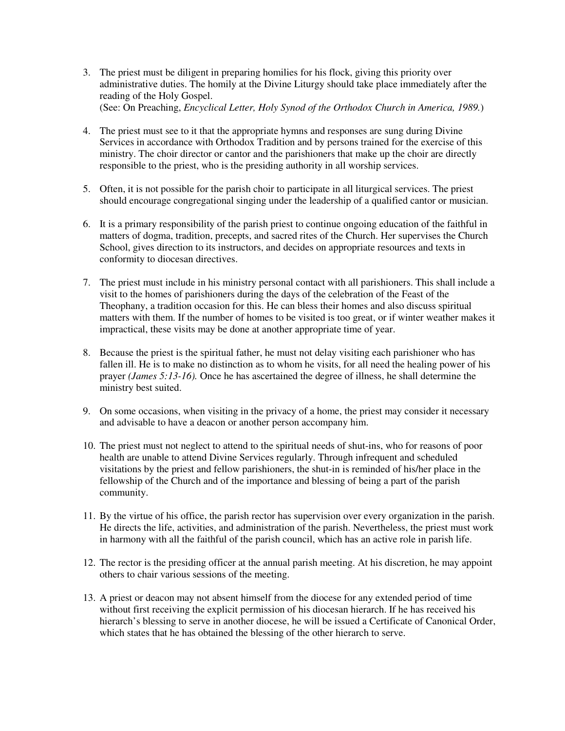- 3. The priest must be diligent in preparing homilies for his flock, giving this priority over administrative duties. The homily at the Divine Liturgy should take place immediately after the reading of the Holy Gospel. (See: On Preaching, *Encyclical Letter, Holy Synod of the Orthodox Church in America, 1989.*)
- 4. The priest must see to it that the appropriate hymns and responses are sung during Divine Services in accordance with Orthodox Tradition and by persons trained for the exercise of this ministry. The choir director or cantor and the parishioners that make up the choir are directly responsible to the priest, who is the presiding authority in all worship services.
- 5. Often, it is not possible for the parish choir to participate in all liturgical services. The priest should encourage congregational singing under the leadership of a qualified cantor or musician.
- 6. It is a primary responsibility of the parish priest to continue ongoing education of the faithful in matters of dogma, tradition, precepts, and sacred rites of the Church. Her supervises the Church School, gives direction to its instructors, and decides on appropriate resources and texts in conformity to diocesan directives.
- 7. The priest must include in his ministry personal contact with all parishioners. This shall include a visit to the homes of parishioners during the days of the celebration of the Feast of the Theophany, a tradition occasion for this. He can bless their homes and also discuss spiritual matters with them. If the number of homes to be visited is too great, or if winter weather makes it impractical, these visits may be done at another appropriate time of year.
- 8. Because the priest is the spiritual father, he must not delay visiting each parishioner who has fallen ill. He is to make no distinction as to whom he visits, for all need the healing power of his prayer *(James 5:13-16).* Once he has ascertained the degree of illness, he shall determine the ministry best suited.
- 9. On some occasions, when visiting in the privacy of a home, the priest may consider it necessary and advisable to have a deacon or another person accompany him.
- 10. The priest must not neglect to attend to the spiritual needs of shut-ins, who for reasons of poor health are unable to attend Divine Services regularly. Through infrequent and scheduled visitations by the priest and fellow parishioners, the shut-in is reminded of his/her place in the fellowship of the Church and of the importance and blessing of being a part of the parish community.
- 11. By the virtue of his office, the parish rector has supervision over every organization in the parish. He directs the life, activities, and administration of the parish. Nevertheless, the priest must work in harmony with all the faithful of the parish council, which has an active role in parish life.
- 12. The rector is the presiding officer at the annual parish meeting. At his discretion, he may appoint others to chair various sessions of the meeting.
- 13. A priest or deacon may not absent himself from the diocese for any extended period of time without first receiving the explicit permission of his diocesan hierarch. If he has received his hierarch's blessing to serve in another diocese, he will be issued a Certificate of Canonical Order, which states that he has obtained the blessing of the other hierarch to serve.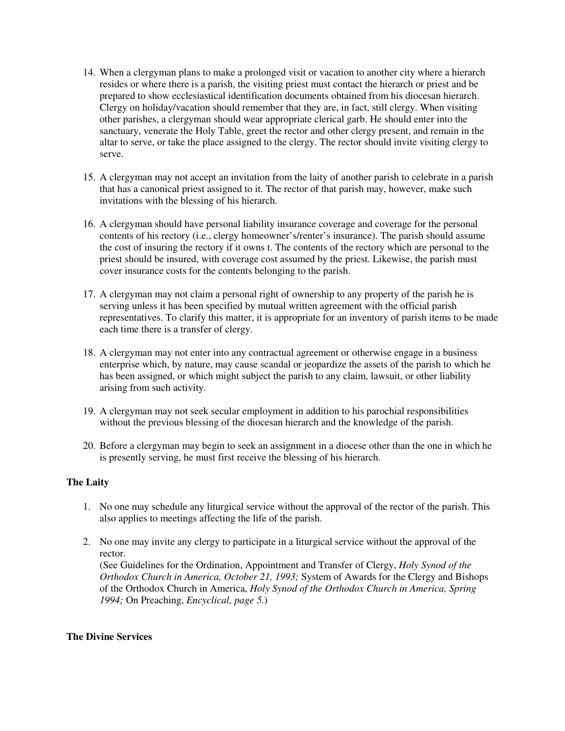- 14. When a clergyman plans to make a prolonged visit or vacation to another city where a hierarch resides or where there is a parish, the visiting priest must contact the hierarch or priest and be prepared to show ecclesiastical identification documents obtained from his diocesan hierarch. Clergy on holiday/vacation should remember that they are, in fact, still clergy. When visiting other parishes, a clergyman should wear appropriate clerical garb. He should enter into the sanctuary, venerate the Holy Table, greet the rector and other clergy present, and remain in the altar to serve, or take the place assigned to the clergy. The rector should invite visiting clergy to serve.
- 15. A clergyman may not accept an invitation from the laity of another parish to celebrate in a parish that has a canonical priest assigned to it. The rector of that parish may, however, make such invitations with the blessing of his hierarch.
- 16. A clergyman should have personal liability insurance coverage and coverage for the personal contents of his rectory (i.e., clergy homeowner's/renter's insurance). The parish should assume the cost of insuring the rectory if it owns t. The contents of the rectory which are personal to the priest should be insured, with coverage cost assumed by the priest. Likewise, the parish must cover insurance costs for the contents belonging to the parish.
- 17. A clergyman may not claim a personal right of ownership to any property of the parish he is serving unless it has been specified by mutual written agreement with the official parish representatives. To clarify this matter, it is appropriate for an inventory of parish items to be made each time there is a transfer of clergy.
- 18. A clergyman may not enter into any contractual agreement or otherwise engage in a business enterprise which, by nature, may cause scandal or jeopardize the assets of the parish to which he has been assigned, or which might subject the parish to any claim, lawsuit, or other liability arising from such activity.
- 19. A clergyman may not seek secular employment in addition to his parochial responsibilities without the previous blessing of the diocesan hierarch and the knowledge of the parish.
- 20. Before a clergyman may begin to seek an assignment in a diocese other than the one in which he is presently serving, he must first receive the blessing of his hierarch.

# **The Laity**

- 1. No one may schedule any liturgical service without the approval of the rector of the parish. This also applies to meetings affecting the life of the parish.
- 2. No one may invite any clergy to participate in a liturgical service without the approval of the rector.

(See Guidelines for the Ordination, Appointment and Transfer of Clergy, *Holy Synod of the Orthodox Church in America, October 21, 1993;* System of Awards for the Clergy and Bishops of the Orthodox Church in America, *Holy Synod of the Orthodox Church in America, Spring 1994;* On Preaching, *Encyclical, page 5.*)

#### **The Divine Services**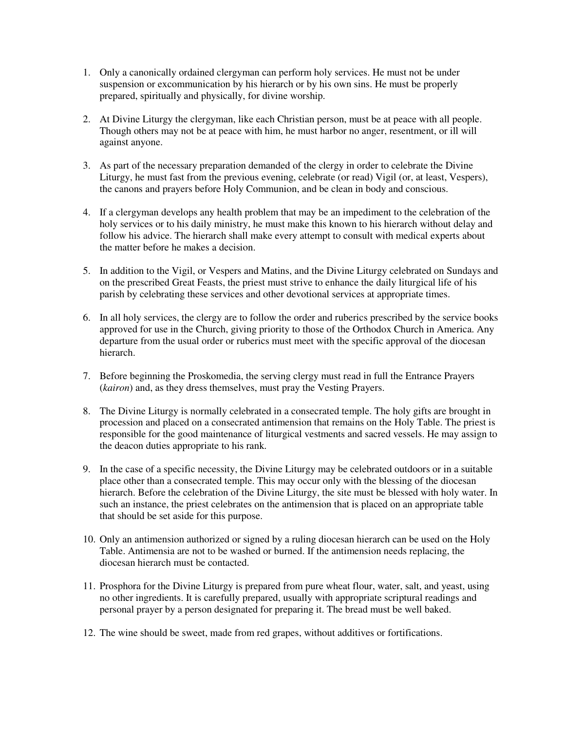- 1. Only a canonically ordained clergyman can perform holy services. He must not be under suspension or excommunication by his hierarch or by his own sins. He must be properly prepared, spiritually and physically, for divine worship.
- 2. At Divine Liturgy the clergyman, like each Christian person, must be at peace with all people. Though others may not be at peace with him, he must harbor no anger, resentment, or ill will against anyone.
- 3. As part of the necessary preparation demanded of the clergy in order to celebrate the Divine Liturgy, he must fast from the previous evening, celebrate (or read) Vigil (or, at least, Vespers), the canons and prayers before Holy Communion, and be clean in body and conscious.
- 4. If a clergyman develops any health problem that may be an impediment to the celebration of the holy services or to his daily ministry, he must make this known to his hierarch without delay and follow his advice. The hierarch shall make every attempt to consult with medical experts about the matter before he makes a decision.
- 5. In addition to the Vigil, or Vespers and Matins, and the Divine Liturgy celebrated on Sundays and on the prescribed Great Feasts, the priest must strive to enhance the daily liturgical life of his parish by celebrating these services and other devotional services at appropriate times.
- 6. In all holy services, the clergy are to follow the order and ruberics prescribed by the service books approved for use in the Church, giving priority to those of the Orthodox Church in America. Any departure from the usual order or ruberics must meet with the specific approval of the diocesan hierarch.
- 7. Before beginning the Proskomedia, the serving clergy must read in full the Entrance Prayers (*kairon*) and, as they dress themselves, must pray the Vesting Prayers.
- 8. The Divine Liturgy is normally celebrated in a consecrated temple. The holy gifts are brought in procession and placed on a consecrated antimension that remains on the Holy Table. The priest is responsible for the good maintenance of liturgical vestments and sacred vessels. He may assign to the deacon duties appropriate to his rank.
- 9. In the case of a specific necessity, the Divine Liturgy may be celebrated outdoors or in a suitable place other than a consecrated temple. This may occur only with the blessing of the diocesan hierarch. Before the celebration of the Divine Liturgy, the site must be blessed with holy water. In such an instance, the priest celebrates on the antimension that is placed on an appropriate table that should be set aside for this purpose.
- 10. Only an antimension authorized or signed by a ruling diocesan hierarch can be used on the Holy Table. Antimensia are not to be washed or burned. If the antimension needs replacing, the diocesan hierarch must be contacted.
- 11. Prosphora for the Divine Liturgy is prepared from pure wheat flour, water, salt, and yeast, using no other ingredients. It is carefully prepared, usually with appropriate scriptural readings and personal prayer by a person designated for preparing it. The bread must be well baked.
- 12. The wine should be sweet, made from red grapes, without additives or fortifications.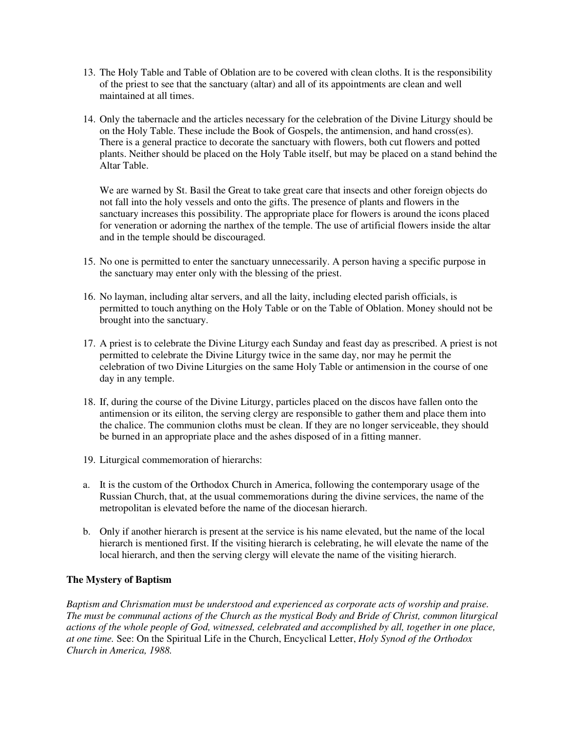- 13. The Holy Table and Table of Oblation are to be covered with clean cloths. It is the responsibility of the priest to see that the sanctuary (altar) and all of its appointments are clean and well maintained at all times.
- 14. Only the tabernacle and the articles necessary for the celebration of the Divine Liturgy should be on the Holy Table. These include the Book of Gospels, the antimension, and hand cross(es). There is a general practice to decorate the sanctuary with flowers, both cut flowers and potted plants. Neither should be placed on the Holy Table itself, but may be placed on a stand behind the Altar Table.

We are warned by St. Basil the Great to take great care that insects and other foreign objects do not fall into the holy vessels and onto the gifts. The presence of plants and flowers in the sanctuary increases this possibility. The appropriate place for flowers is around the icons placed for veneration or adorning the narthex of the temple. The use of artificial flowers inside the altar and in the temple should be discouraged.

- 15. No one is permitted to enter the sanctuary unnecessarily. A person having a specific purpose in the sanctuary may enter only with the blessing of the priest.
- 16. No layman, including altar servers, and all the laity, including elected parish officials, is permitted to touch anything on the Holy Table or on the Table of Oblation. Money should not be brought into the sanctuary.
- 17. A priest is to celebrate the Divine Liturgy each Sunday and feast day as prescribed. A priest is not permitted to celebrate the Divine Liturgy twice in the same day, nor may he permit the celebration of two Divine Liturgies on the same Holy Table or antimension in the course of one day in any temple.
- 18. If, during the course of the Divine Liturgy, particles placed on the discos have fallen onto the antimension or its eiliton, the serving clergy are responsible to gather them and place them into the chalice. The communion cloths must be clean. If they are no longer serviceable, they should be burned in an appropriate place and the ashes disposed of in a fitting manner.
- 19. Liturgical commemoration of hierarchs:
- a. It is the custom of the Orthodox Church in America, following the contemporary usage of the Russian Church, that, at the usual commemorations during the divine services, the name of the metropolitan is elevated before the name of the diocesan hierarch.
- b. Only if another hierarch is present at the service is his name elevated, but the name of the local hierarch is mentioned first. If the visiting hierarch is celebrating, he will elevate the name of the local hierarch, and then the serving clergy will elevate the name of the visiting hierarch.

# **The Mystery of Baptism**

*Baptism and Chrismation must be understood and experienced as corporate acts of worship and praise. The must be communal actions of the Church as the mystical Body and Bride of Christ, common liturgical actions of the whole people of God, witnessed, celebrated and accomplished by all, together in one place, at one time.* See: On the Spiritual Life in the Church, Encyclical Letter, *Holy Synod of the Orthodox Church in America, 1988.*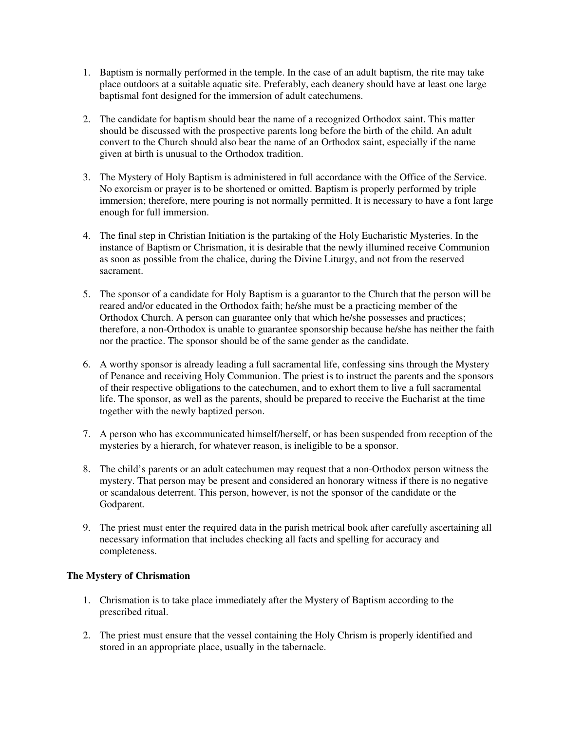- 1. Baptism is normally performed in the temple. In the case of an adult baptism, the rite may take place outdoors at a suitable aquatic site. Preferably, each deanery should have at least one large baptismal font designed for the immersion of adult catechumens.
- 2. The candidate for baptism should bear the name of a recognized Orthodox saint. This matter should be discussed with the prospective parents long before the birth of the child. An adult convert to the Church should also bear the name of an Orthodox saint, especially if the name given at birth is unusual to the Orthodox tradition.
- 3. The Mystery of Holy Baptism is administered in full accordance with the Office of the Service. No exorcism or prayer is to be shortened or omitted. Baptism is properly performed by triple immersion; therefore, mere pouring is not normally permitted. It is necessary to have a font large enough for full immersion.
- 4. The final step in Christian Initiation is the partaking of the Holy Eucharistic Mysteries. In the instance of Baptism or Chrismation, it is desirable that the newly illumined receive Communion as soon as possible from the chalice, during the Divine Liturgy, and not from the reserved sacrament.
- 5. The sponsor of a candidate for Holy Baptism is a guarantor to the Church that the person will be reared and/or educated in the Orthodox faith; he/she must be a practicing member of the Orthodox Church. A person can guarantee only that which he/she possesses and practices; therefore, a non-Orthodox is unable to guarantee sponsorship because he/she has neither the faith nor the practice. The sponsor should be of the same gender as the candidate.
- 6. A worthy sponsor is already leading a full sacramental life, confessing sins through the Mystery of Penance and receiving Holy Communion. The priest is to instruct the parents and the sponsors of their respective obligations to the catechumen, and to exhort them to live a full sacramental life. The sponsor, as well as the parents, should be prepared to receive the Eucharist at the time together with the newly baptized person.
- 7. A person who has excommunicated himself/herself, or has been suspended from reception of the mysteries by a hierarch, for whatever reason, is ineligible to be a sponsor.
- 8. The child's parents or an adult catechumen may request that a non-Orthodox person witness the mystery. That person may be present and considered an honorary witness if there is no negative or scandalous deterrent. This person, however, is not the sponsor of the candidate or the Godparent.
- 9. The priest must enter the required data in the parish metrical book after carefully ascertaining all necessary information that includes checking all facts and spelling for accuracy and completeness.

# **The Mystery of Chrismation**

- 1. Chrismation is to take place immediately after the Mystery of Baptism according to the prescribed ritual.
- 2. The priest must ensure that the vessel containing the Holy Chrism is properly identified and stored in an appropriate place, usually in the tabernacle.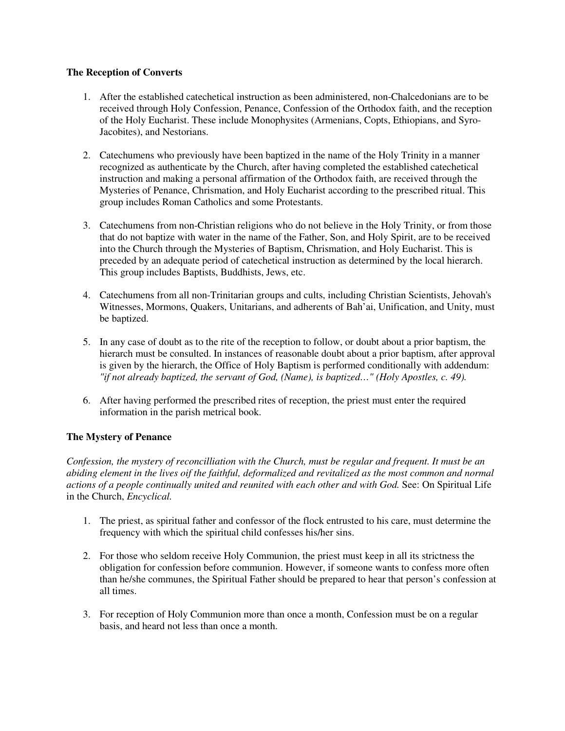# **The Reception of Converts**

- 1. After the established catechetical instruction as been administered, non-Chalcedonians are to be received through Holy Confession, Penance, Confession of the Orthodox faith, and the reception of the Holy Eucharist. These include Monophysites (Armenians, Copts, Ethiopians, and Syro-Jacobites), and Nestorians.
- 2. Catechumens who previously have been baptized in the name of the Holy Trinity in a manner recognized as authenticate by the Church, after having completed the established catechetical instruction and making a personal affirmation of the Orthodox faith, are received through the Mysteries of Penance, Chrismation, and Holy Eucharist according to the prescribed ritual. This group includes Roman Catholics and some Protestants.
- 3. Catechumens from non-Christian religions who do not believe in the Holy Trinity, or from those that do not baptize with water in the name of the Father, Son, and Holy Spirit, are to be received into the Church through the Mysteries of Baptism, Chrismation, and Holy Eucharist. This is preceded by an adequate period of catechetical instruction as determined by the local hierarch. This group includes Baptists, Buddhists, Jews, etc.
- 4. Catechumens from all non-Trinitarian groups and cults, including Christian Scientists, Jehovah's Witnesses, Mormons, Quakers, Unitarians, and adherents of Bah'ai, Unification, and Unity, must be baptized.
- 5. In any case of doubt as to the rite of the reception to follow, or doubt about a prior baptism, the hierarch must be consulted. In instances of reasonable doubt about a prior baptism, after approval is given by the hierarch, the Office of Holy Baptism is performed conditionally with addendum: *"if not already baptized, the servant of God, (Name), is baptized…" (Holy Apostles, c. 49).*
- 6. After having performed the prescribed rites of reception, the priest must enter the required information in the parish metrical book.

# **The Mystery of Penance**

*Confession, the mystery of reconcilliation with the Church, must be regular and frequent. It must be an abiding element in the lives oif the faithful, deformalized and revitalized as the most common and normal actions of a people continually united and reunited with each other and with God.* See: On Spiritual Life in the Church, *Encyclical.*

- 1. The priest, as spiritual father and confessor of the flock entrusted to his care, must determine the frequency with which the spiritual child confesses his/her sins.
- 2. For those who seldom receive Holy Communion, the priest must keep in all its strictness the obligation for confession before communion. However, if someone wants to confess more often than he/she communes, the Spiritual Father should be prepared to hear that person's confession at all times.
- 3. For reception of Holy Communion more than once a month, Confession must be on a regular basis, and heard not less than once a month.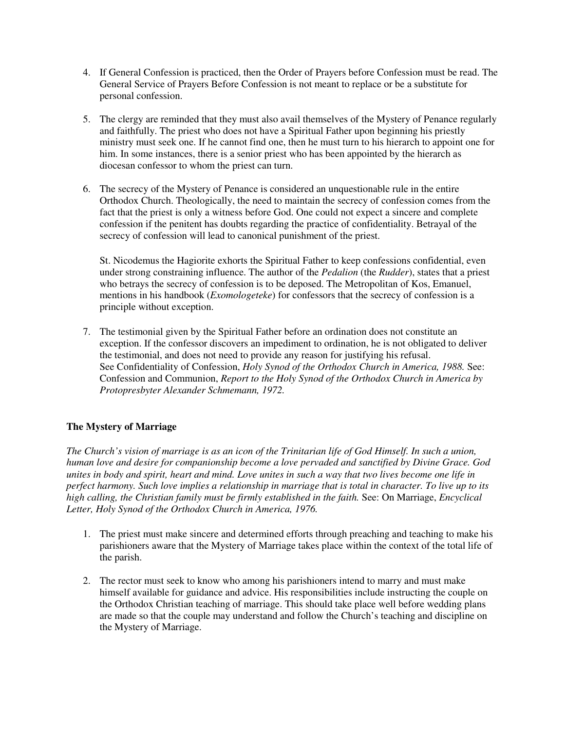- 4. If General Confession is practiced, then the Order of Prayers before Confession must be read. The General Service of Prayers Before Confession is not meant to replace or be a substitute for personal confession.
- 5. The clergy are reminded that they must also avail themselves of the Mystery of Penance regularly and faithfully. The priest who does not have a Spiritual Father upon beginning his priestly ministry must seek one. If he cannot find one, then he must turn to his hierarch to appoint one for him. In some instances, there is a senior priest who has been appointed by the hierarch as diocesan confessor to whom the priest can turn.
- 6. The secrecy of the Mystery of Penance is considered an unquestionable rule in the entire Orthodox Church. Theologically, the need to maintain the secrecy of confession comes from the fact that the priest is only a witness before God. One could not expect a sincere and complete confession if the penitent has doubts regarding the practice of confidentiality. Betrayal of the secrecy of confession will lead to canonical punishment of the priest.

St. Nicodemus the Hagiorite exhorts the Spiritual Father to keep confessions confidential, even under strong constraining influence. The author of the *Pedalion* (the *Rudder*), states that a priest who betrays the secrecy of confession is to be deposed. The Metropolitan of Kos, Emanuel, mentions in his handbook (*Exomologeteke*) for confessors that the secrecy of confession is a principle without exception.

7. The testimonial given by the Spiritual Father before an ordination does not constitute an exception. If the confessor discovers an impediment to ordination, he is not obligated to deliver the testimonial, and does not need to provide any reason for justifying his refusal. See Confidentiality of Confession, *Holy Synod of the Orthodox Church in America, 1988.* See: Confession and Communion, *Report to the Holy Synod of the Orthodox Church in America by Protopresbyter Alexander Schmemann, 1972.*

# **The Mystery of Marriage**

*The Church's vision of marriage is as an icon of the Trinitarian life of God Himself. In such a union, human love and desire for companionship become a love pervaded and sanctified by Divine Grace. God unites in body and spirit, heart and mind. Love unites in such a way that two lives become one life in perfect harmony. Such love implies a relationship in marriage that is total in character. To live up to its high calling, the Christian family must be firmly established in the faith.* See: On Marriage, *Encyclical Letter, Holy Synod of the Orthodox Church in America, 1976.*

- 1. The priest must make sincere and determined efforts through preaching and teaching to make his parishioners aware that the Mystery of Marriage takes place within the context of the total life of the parish.
- 2. The rector must seek to know who among his parishioners intend to marry and must make himself available for guidance and advice. His responsibilities include instructing the couple on the Orthodox Christian teaching of marriage. This should take place well before wedding plans are made so that the couple may understand and follow the Church's teaching and discipline on the Mystery of Marriage.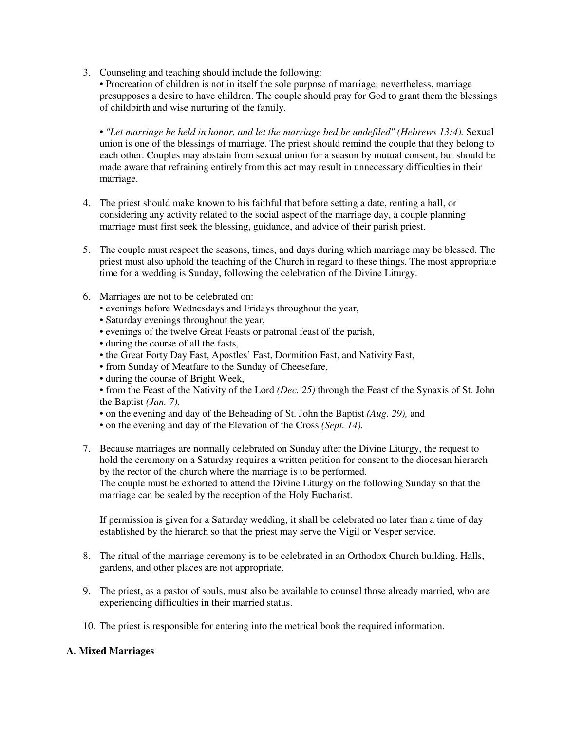3. Counseling and teaching should include the following:

• Procreation of children is not in itself the sole purpose of marriage; nevertheless, marriage presupposes a desire to have children. The couple should pray for God to grant them the blessings of childbirth and wise nurturing of the family.

• *"Let marriage be held in honor, and let the marriage bed be undefiled" (Hebrews 13:4).* Sexual union is one of the blessings of marriage. The priest should remind the couple that they belong to each other. Couples may abstain from sexual union for a season by mutual consent, but should be made aware that refraining entirely from this act may result in unnecessary difficulties in their marriage.

- 4. The priest should make known to his faithful that before setting a date, renting a hall, or considering any activity related to the social aspect of the marriage day, a couple planning marriage must first seek the blessing, guidance, and advice of their parish priest.
- 5. The couple must respect the seasons, times, and days during which marriage may be blessed. The priest must also uphold the teaching of the Church in regard to these things. The most appropriate time for a wedding is Sunday, following the celebration of the Divine Liturgy.
- 6. Marriages are not to be celebrated on:
	- evenings before Wednesdays and Fridays throughout the year,
	- Saturday evenings throughout the year,
	- evenings of the twelve Great Feasts or patronal feast of the parish,
	- during the course of all the fasts,
	- the Great Forty Day Fast, Apostles' Fast, Dormition Fast, and Nativity Fast,
	- from Sunday of Meatfare to the Sunday of Cheesefare,
	- during the course of Bright Week,

• from the Feast of the Nativity of the Lord *(Dec. 25)* through the Feast of the Synaxis of St. John the Baptist *(Jan. 7),*

- on the evening and day of the Beheading of St. John the Baptist *(Aug. 29),* and
- on the evening and day of the Elevation of the Cross *(Sept. 14).*
- 7. Because marriages are normally celebrated on Sunday after the Divine Liturgy, the request to hold the ceremony on a Saturday requires a written petition for consent to the diocesan hierarch by the rector of the church where the marriage is to be performed.

The couple must be exhorted to attend the Divine Liturgy on the following Sunday so that the marriage can be sealed by the reception of the Holy Eucharist.

If permission is given for a Saturday wedding, it shall be celebrated no later than a time of day established by the hierarch so that the priest may serve the Vigil or Vesper service.

- 8. The ritual of the marriage ceremony is to be celebrated in an Orthodox Church building. Halls, gardens, and other places are not appropriate.
- 9. The priest, as a pastor of souls, must also be available to counsel those already married, who are experiencing difficulties in their married status.
- 10. The priest is responsible for entering into the metrical book the required information.

# **A. Mixed Marriages**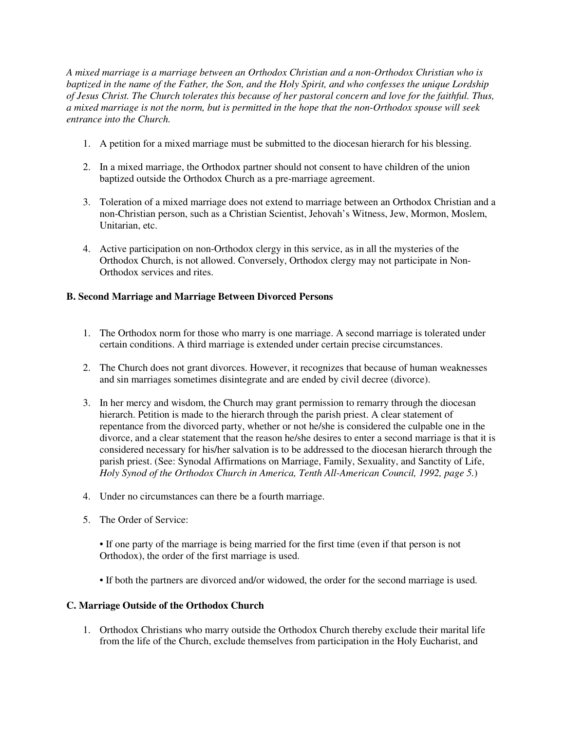*A mixed marriage is a marriage between an Orthodox Christian and a non-Orthodox Christian who is baptized in the name of the Father, the Son, and the Holy Spirit, and who confesses the unique Lordship of Jesus Christ. The Church tolerates this because of her pastoral concern and love for the faithful. Thus, a mixed marriage is not the norm, but is permitted in the hope that the non-Orthodox spouse will seek entrance into the Church.* 

- 1. A petition for a mixed marriage must be submitted to the diocesan hierarch for his blessing.
- 2. In a mixed marriage, the Orthodox partner should not consent to have children of the union baptized outside the Orthodox Church as a pre-marriage agreement.
- 3. Toleration of a mixed marriage does not extend to marriage between an Orthodox Christian and a non-Christian person, such as a Christian Scientist, Jehovah's Witness, Jew, Mormon, Moslem, Unitarian, etc.
- 4. Active participation on non-Orthodox clergy in this service, as in all the mysteries of the Orthodox Church, is not allowed. Conversely, Orthodox clergy may not participate in Non-Orthodox services and rites.

# **B. Second Marriage and Marriage Between Divorced Persons**

- 1. The Orthodox norm for those who marry is one marriage. A second marriage is tolerated under certain conditions. A third marriage is extended under certain precise circumstances.
- 2. The Church does not grant divorces. However, it recognizes that because of human weaknesses and sin marriages sometimes disintegrate and are ended by civil decree (divorce).
- 3. In her mercy and wisdom, the Church may grant permission to remarry through the diocesan hierarch. Petition is made to the hierarch through the parish priest. A clear statement of repentance from the divorced party, whether or not he/she is considered the culpable one in the divorce, and a clear statement that the reason he/she desires to enter a second marriage is that it is considered necessary for his/her salvation is to be addressed to the diocesan hierarch through the parish priest. (See: Synodal Affirmations on Marriage, Family, Sexuality, and Sanctity of Life, *Holy Synod of the Orthodox Church in America, Tenth All-American Council, 1992, page 5.*)
- 4. Under no circumstances can there be a fourth marriage.
- 5. The Order of Service:
	- If one party of the marriage is being married for the first time (even if that person is not Orthodox), the order of the first marriage is used.
	- If both the partners are divorced and/or widowed, the order for the second marriage is used.

# **C. Marriage Outside of the Orthodox Church**

1. Orthodox Christians who marry outside the Orthodox Church thereby exclude their marital life from the life of the Church, exclude themselves from participation in the Holy Eucharist, and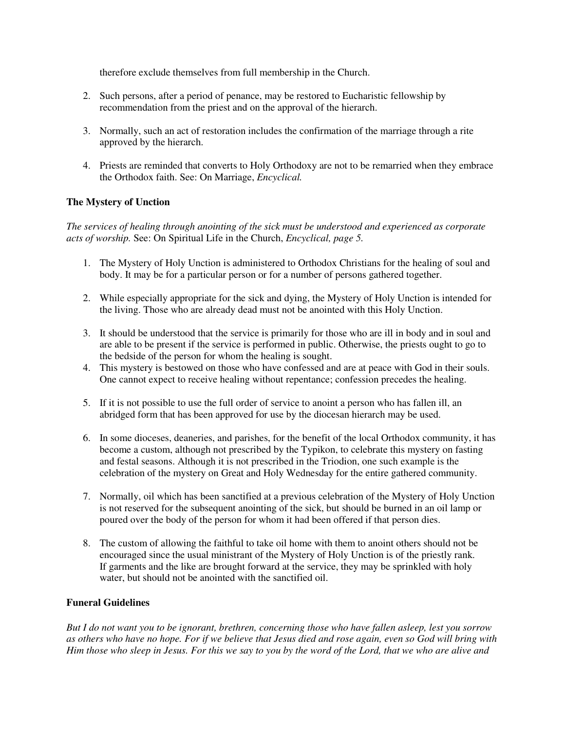therefore exclude themselves from full membership in the Church.

- 2. Such persons, after a period of penance, may be restored to Eucharistic fellowship by recommendation from the priest and on the approval of the hierarch.
- 3. Normally, such an act of restoration includes the confirmation of the marriage through a rite approved by the hierarch.
- 4. Priests are reminded that converts to Holy Orthodoxy are not to be remarried when they embrace the Orthodox faith. See: On Marriage, *Encyclical.*

# **The Mystery of Unction**

*The services of healing through anointing of the sick must be understood and experienced as corporate acts of worship.* See: On Spiritual Life in the Church, *Encyclical, page 5.*

- 1. The Mystery of Holy Unction is administered to Orthodox Christians for the healing of soul and body. It may be for a particular person or for a number of persons gathered together.
- 2. While especially appropriate for the sick and dying, the Mystery of Holy Unction is intended for the living. Those who are already dead must not be anointed with this Holy Unction.
- 3. It should be understood that the service is primarily for those who are ill in body and in soul and are able to be present if the service is performed in public. Otherwise, the priests ought to go to the bedside of the person for whom the healing is sought.
- 4. This mystery is bestowed on those who have confessed and are at peace with God in their souls. One cannot expect to receive healing without repentance; confession precedes the healing.
- 5. If it is not possible to use the full order of service to anoint a person who has fallen ill, an abridged form that has been approved for use by the diocesan hierarch may be used.
- 6. In some dioceses, deaneries, and parishes, for the benefit of the local Orthodox community, it has become a custom, although not prescribed by the Typikon, to celebrate this mystery on fasting and festal seasons. Although it is not prescribed in the Triodion, one such example is the celebration of the mystery on Great and Holy Wednesday for the entire gathered community.
- 7. Normally, oil which has been sanctified at a previous celebration of the Mystery of Holy Unction is not reserved for the subsequent anointing of the sick, but should be burned in an oil lamp or poured over the body of the person for whom it had been offered if that person dies.
- 8. The custom of allowing the faithful to take oil home with them to anoint others should not be encouraged since the usual ministrant of the Mystery of Holy Unction is of the priestly rank. If garments and the like are brought forward at the service, they may be sprinkled with holy water, but should not be anointed with the sanctified oil.

# **Funeral Guidelines**

*But I do not want you to be ignorant, brethren, concerning those who have fallen asleep, lest you sorrow as others who have no hope. For if we believe that Jesus died and rose again, even so God will bring with Him those who sleep in Jesus. For this we say to you by the word of the Lord, that we who are alive and*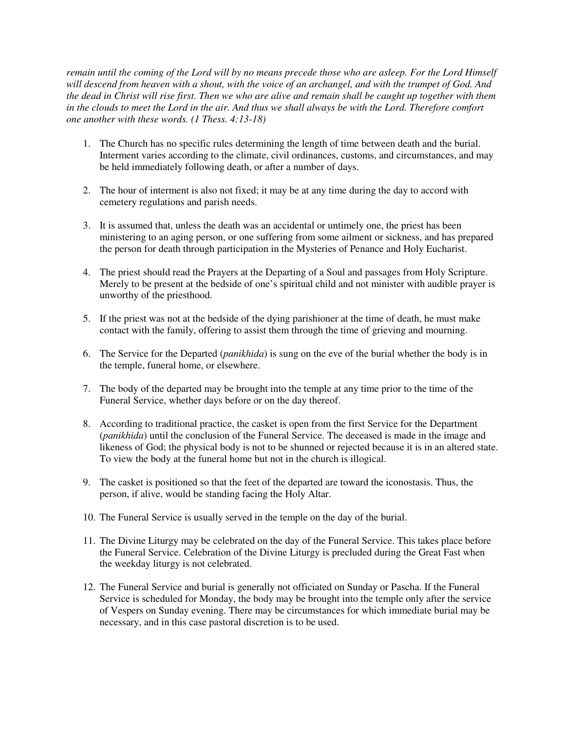*remain until the coming of the Lord will by no means precede those who are asleep. For the Lord Himself will descend from heaven with a shout, with the voice of an archangel, and with the trumpet of God. And the dead in Christ will rise first. Then we who are alive and remain shall be caught up together with them in the clouds to meet the Lord in the air. And thus we shall always be with the Lord. Therefore comfort one another with these words. (1 Thess. 4:13-18)*

- 1. The Church has no specific rules determining the length of time between death and the burial. Interment varies according to the climate, civil ordinances, customs, and circumstances, and may be held immediately following death, or after a number of days.
- 2. The hour of interment is also not fixed; it may be at any time during the day to accord with cemetery regulations and parish needs.
- 3. It is assumed that, unless the death was an accidental or untimely one, the priest has been ministering to an aging person, or one suffering from some ailment or sickness, and has prepared the person for death through participation in the Mysteries of Penance and Holy Eucharist.
- 4. The priest should read the Prayers at the Departing of a Soul and passages from Holy Scripture. Merely to be present at the bedside of one's spiritual child and not minister with audible prayer is unworthy of the priesthood.
- 5. If the priest was not at the bedside of the dying parishioner at the time of death, he must make contact with the family, offering to assist them through the time of grieving and mourning.
- 6. The Service for the Departed (*panikhida*) is sung on the eve of the burial whether the body is in the temple, funeral home, or elsewhere.
- 7. The body of the departed may be brought into the temple at any time prior to the time of the Funeral Service, whether days before or on the day thereof.
- 8. According to traditional practice, the casket is open from the first Service for the Department (*panikhida*) until the conclusion of the Funeral Service. The deceased is made in the image and likeness of God; the physical body is not to be shunned or rejected because it is in an altered state. To view the body at the funeral home but not in the church is illogical.
- 9. The casket is positioned so that the feet of the departed are toward the iconostasis. Thus, the person, if alive, would be standing facing the Holy Altar.
- 10. The Funeral Service is usually served in the temple on the day of the burial.
- 11. The Divine Liturgy may be celebrated on the day of the Funeral Service. This takes place before the Funeral Service. Celebration of the Divine Liturgy is precluded during the Great Fast when the weekday liturgy is not celebrated.
- 12. The Funeral Service and burial is generally not officiated on Sunday or Pascha. If the Funeral Service is scheduled for Monday, the body may be brought into the temple only after the service of Vespers on Sunday evening. There may be circumstances for which immediate burial may be necessary, and in this case pastoral discretion is to be used.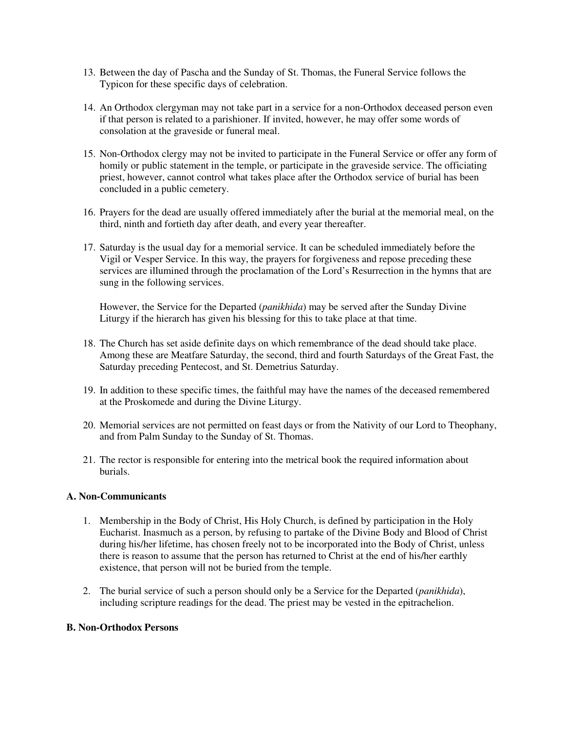- 13. Between the day of Pascha and the Sunday of St. Thomas, the Funeral Service follows the Typicon for these specific days of celebration.
- 14. An Orthodox clergyman may not take part in a service for a non-Orthodox deceased person even if that person is related to a parishioner. If invited, however, he may offer some words of consolation at the graveside or funeral meal.
- 15. Non-Orthodox clergy may not be invited to participate in the Funeral Service or offer any form of homily or public statement in the temple, or participate in the graveside service. The officiating priest, however, cannot control what takes place after the Orthodox service of burial has been concluded in a public cemetery.
- 16. Prayers for the dead are usually offered immediately after the burial at the memorial meal, on the third, ninth and fortieth day after death, and every year thereafter.
- 17. Saturday is the usual day for a memorial service. It can be scheduled immediately before the Vigil or Vesper Service. In this way, the prayers for forgiveness and repose preceding these services are illumined through the proclamation of the Lord's Resurrection in the hymns that are sung in the following services.

However, the Service for the Departed (*panikhida*) may be served after the Sunday Divine Liturgy if the hierarch has given his blessing for this to take place at that time.

- 18. The Church has set aside definite days on which remembrance of the dead should take place. Among these are Meatfare Saturday, the second, third and fourth Saturdays of the Great Fast, the Saturday preceding Pentecost, and St. Demetrius Saturday.
- 19. In addition to these specific times, the faithful may have the names of the deceased remembered at the Proskomede and during the Divine Liturgy.
- 20. Memorial services are not permitted on feast days or from the Nativity of our Lord to Theophany, and from Palm Sunday to the Sunday of St. Thomas.
- 21. The rector is responsible for entering into the metrical book the required information about burials.

#### **A. Non-Communicants**

- 1. Membership in the Body of Christ, His Holy Church, is defined by participation in the Holy Eucharist. Inasmuch as a person, by refusing to partake of the Divine Body and Blood of Christ during his/her lifetime, has chosen freely not to be incorporated into the Body of Christ, unless there is reason to assume that the person has returned to Christ at the end of his/her earthly existence, that person will not be buried from the temple.
- 2. The burial service of such a person should only be a Service for the Departed (*panikhida*), including scripture readings for the dead. The priest may be vested in the epitrachelion.

# **B. Non-Orthodox Persons**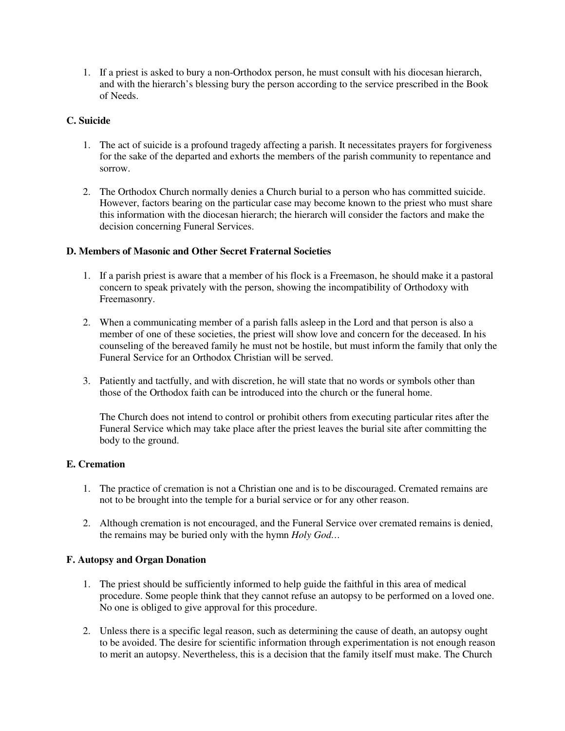1. If a priest is asked to bury a non-Orthodox person, he must consult with his diocesan hierarch, and with the hierarch's blessing bury the person according to the service prescribed in the Book of Needs.

# **C. Suicide**

- 1. The act of suicide is a profound tragedy affecting a parish. It necessitates prayers for forgiveness for the sake of the departed and exhorts the members of the parish community to repentance and sorrow.
- 2. The Orthodox Church normally denies a Church burial to a person who has committed suicide. However, factors bearing on the particular case may become known to the priest who must share this information with the diocesan hierarch; the hierarch will consider the factors and make the decision concerning Funeral Services.

# **D. Members of Masonic and Other Secret Fraternal Societies**

- 1. If a parish priest is aware that a member of his flock is a Freemason, he should make it a pastoral concern to speak privately with the person, showing the incompatibility of Orthodoxy with Freemasonry.
- 2. When a communicating member of a parish falls asleep in the Lord and that person is also a member of one of these societies, the priest will show love and concern for the deceased. In his counseling of the bereaved family he must not be hostile, but must inform the family that only the Funeral Service for an Orthodox Christian will be served.
- 3. Patiently and tactfully, and with discretion, he will state that no words or symbols other than those of the Orthodox faith can be introduced into the church or the funeral home.

The Church does not intend to control or prohibit others from executing particular rites after the Funeral Service which may take place after the priest leaves the burial site after committing the body to the ground.

# **E. Cremation**

- 1. The practice of cremation is not a Christian one and is to be discouraged. Cremated remains are not to be brought into the temple for a burial service or for any other reason.
- 2. Although cremation is not encouraged, and the Funeral Service over cremated remains is denied, the remains may be buried only with the hymn *Holy God…*

# **F. Autopsy and Organ Donation**

- 1. The priest should be sufficiently informed to help guide the faithful in this area of medical procedure. Some people think that they cannot refuse an autopsy to be performed on a loved one. No one is obliged to give approval for this procedure.
- 2. Unless there is a specific legal reason, such as determining the cause of death, an autopsy ought to be avoided. The desire for scientific information through experimentation is not enough reason to merit an autopsy. Nevertheless, this is a decision that the family itself must make. The Church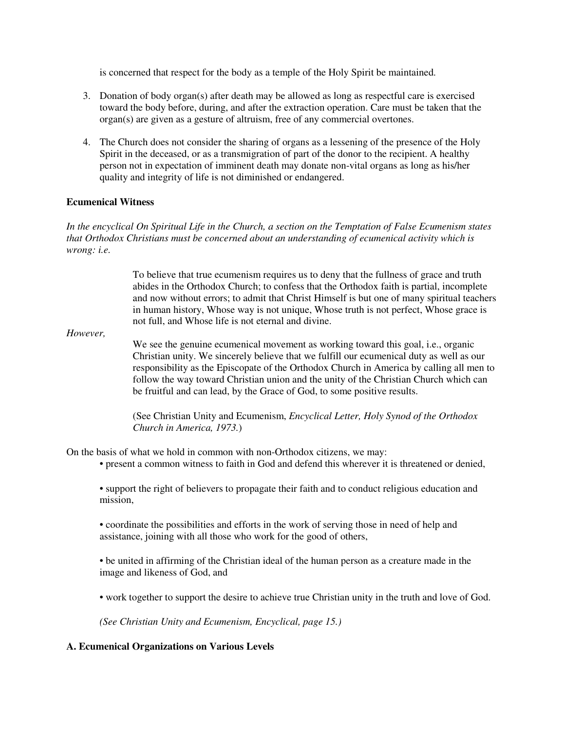is concerned that respect for the body as a temple of the Holy Spirit be maintained.

- 3. Donation of body organ(s) after death may be allowed as long as respectful care is exercised toward the body before, during, and after the extraction operation. Care must be taken that the organ(s) are given as a gesture of altruism, free of any commercial overtones.
- 4. The Church does not consider the sharing of organs as a lessening of the presence of the Holy Spirit in the deceased, or as a transmigration of part of the donor to the recipient. A healthy person not in expectation of imminent death may donate non-vital organs as long as his/her quality and integrity of life is not diminished or endangered.

# **Ecumenical Witness**

*In the encyclical On Spiritual Life in the Church, a section on the Temptation of False Ecumenism states that Orthodox Christians must be concerned about an understanding of ecumenical activity which is wrong: i.e.*

> To believe that true ecumenism requires us to deny that the fullness of grace and truth abides in the Orthodox Church; to confess that the Orthodox faith is partial, incomplete and now without errors; to admit that Christ Himself is but one of many spiritual teachers in human history, Whose way is not unique, Whose truth is not perfect, Whose grace is not full, and Whose life is not eternal and divine.

*However,*

We see the genuine ecumenical movement as working toward this goal, i.e., organic Christian unity. We sincerely believe that we fulfill our ecumenical duty as well as our responsibility as the Episcopate of the Orthodox Church in America by calling all men to follow the way toward Christian union and the unity of the Christian Church which can be fruitful and can lead, by the Grace of God, to some positive results.

(See Christian Unity and Ecumenism, *Encyclical Letter, Holy Synod of the Orthodox Church in America, 1973.*)

On the basis of what we hold in common with non-Orthodox citizens, we may:

• present a common witness to faith in God and defend this wherever it is threatened or denied,

• support the right of believers to propagate their faith and to conduct religious education and mission,

• coordinate the possibilities and efforts in the work of serving those in need of help and assistance, joining with all those who work for the good of others,

• be united in affirming of the Christian ideal of the human person as a creature made in the image and likeness of God, and

• work together to support the desire to achieve true Christian unity in the truth and love of God.

*(See Christian Unity and Ecumenism, Encyclical, page 15.)*

# **A. Ecumenical Organizations on Various Levels**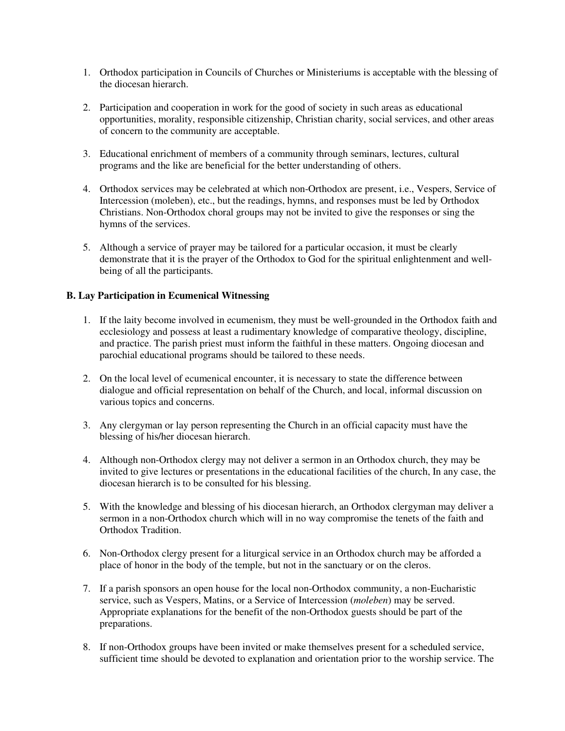- 1. Orthodox participation in Councils of Churches or Ministeriums is acceptable with the blessing of the diocesan hierarch.
- 2. Participation and cooperation in work for the good of society in such areas as educational opportunities, morality, responsible citizenship, Christian charity, social services, and other areas of concern to the community are acceptable.
- 3. Educational enrichment of members of a community through seminars, lectures, cultural programs and the like are beneficial for the better understanding of others.
- 4. Orthodox services may be celebrated at which non-Orthodox are present, i.e., Vespers, Service of Intercession (moleben), etc., but the readings, hymns, and responses must be led by Orthodox Christians. Non-Orthodox choral groups may not be invited to give the responses or sing the hymns of the services.
- 5. Although a service of prayer may be tailored for a particular occasion, it must be clearly demonstrate that it is the prayer of the Orthodox to God for the spiritual enlightenment and wellbeing of all the participants.

# **B. Lay Participation in Ecumenical Witnessing**

- 1. If the laity become involved in ecumenism, they must be well-grounded in the Orthodox faith and ecclesiology and possess at least a rudimentary knowledge of comparative theology, discipline, and practice. The parish priest must inform the faithful in these matters. Ongoing diocesan and parochial educational programs should be tailored to these needs.
- 2. On the local level of ecumenical encounter, it is necessary to state the difference between dialogue and official representation on behalf of the Church, and local, informal discussion on various topics and concerns.
- 3. Any clergyman or lay person representing the Church in an official capacity must have the blessing of his/her diocesan hierarch.
- 4. Although non-Orthodox clergy may not deliver a sermon in an Orthodox church, they may be invited to give lectures or presentations in the educational facilities of the church, In any case, the diocesan hierarch is to be consulted for his blessing.
- 5. With the knowledge and blessing of his diocesan hierarch, an Orthodox clergyman may deliver a sermon in a non-Orthodox church which will in no way compromise the tenets of the faith and Orthodox Tradition.
- 6. Non-Orthodox clergy present for a liturgical service in an Orthodox church may be afforded a place of honor in the body of the temple, but not in the sanctuary or on the cleros.
- 7. If a parish sponsors an open house for the local non-Orthodox community, a non-Eucharistic service, such as Vespers, Matins, or a Service of Intercession (*moleben*) may be served. Appropriate explanations for the benefit of the non-Orthodox guests should be part of the preparations.
- 8. If non-Orthodox groups have been invited or make themselves present for a scheduled service, sufficient time should be devoted to explanation and orientation prior to the worship service. The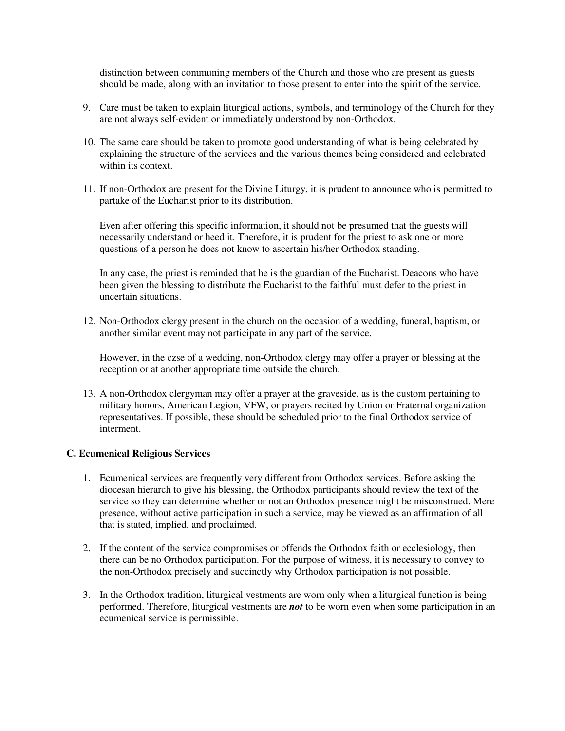distinction between communing members of the Church and those who are present as guests should be made, along with an invitation to those present to enter into the spirit of the service.

- 9. Care must be taken to explain liturgical actions, symbols, and terminology of the Church for they are not always self-evident or immediately understood by non-Orthodox.
- 10. The same care should be taken to promote good understanding of what is being celebrated by explaining the structure of the services and the various themes being considered and celebrated within its context.
- 11. If non-Orthodox are present for the Divine Liturgy, it is prudent to announce who is permitted to partake of the Eucharist prior to its distribution.

Even after offering this specific information, it should not be presumed that the guests will necessarily understand or heed it. Therefore, it is prudent for the priest to ask one or more questions of a person he does not know to ascertain his/her Orthodox standing.

In any case, the priest is reminded that he is the guardian of the Eucharist. Deacons who have been given the blessing to distribute the Eucharist to the faithful must defer to the priest in uncertain situations.

12. Non-Orthodox clergy present in the church on the occasion of a wedding, funeral, baptism, or another similar event may not participate in any part of the service.

However, in the czse of a wedding, non-Orthodox clergy may offer a prayer or blessing at the reception or at another appropriate time outside the church.

13. A non-Orthodox clergyman may offer a prayer at the graveside, as is the custom pertaining to military honors, American Legion, VFW, or prayers recited by Union or Fraternal organization representatives. If possible, these should be scheduled prior to the final Orthodox service of interment.

#### **C. Ecumenical Religious Services**

- 1. Ecumenical services are frequently very different from Orthodox services. Before asking the diocesan hierarch to give his blessing, the Orthodox participants should review the text of the service so they can determine whether or not an Orthodox presence might be misconstrued. Mere presence, without active participation in such a service, may be viewed as an affirmation of all that is stated, implied, and proclaimed.
- 2. If the content of the service compromises or offends the Orthodox faith or ecclesiology, then there can be no Orthodox participation. For the purpose of witness, it is necessary to convey to the non-Orthodox precisely and succinctly why Orthodox participation is not possible.
- 3. In the Orthodox tradition, liturgical vestments are worn only when a liturgical function is being performed. Therefore, liturgical vestments are *not* to be worn even when some participation in an ecumenical service is permissible.